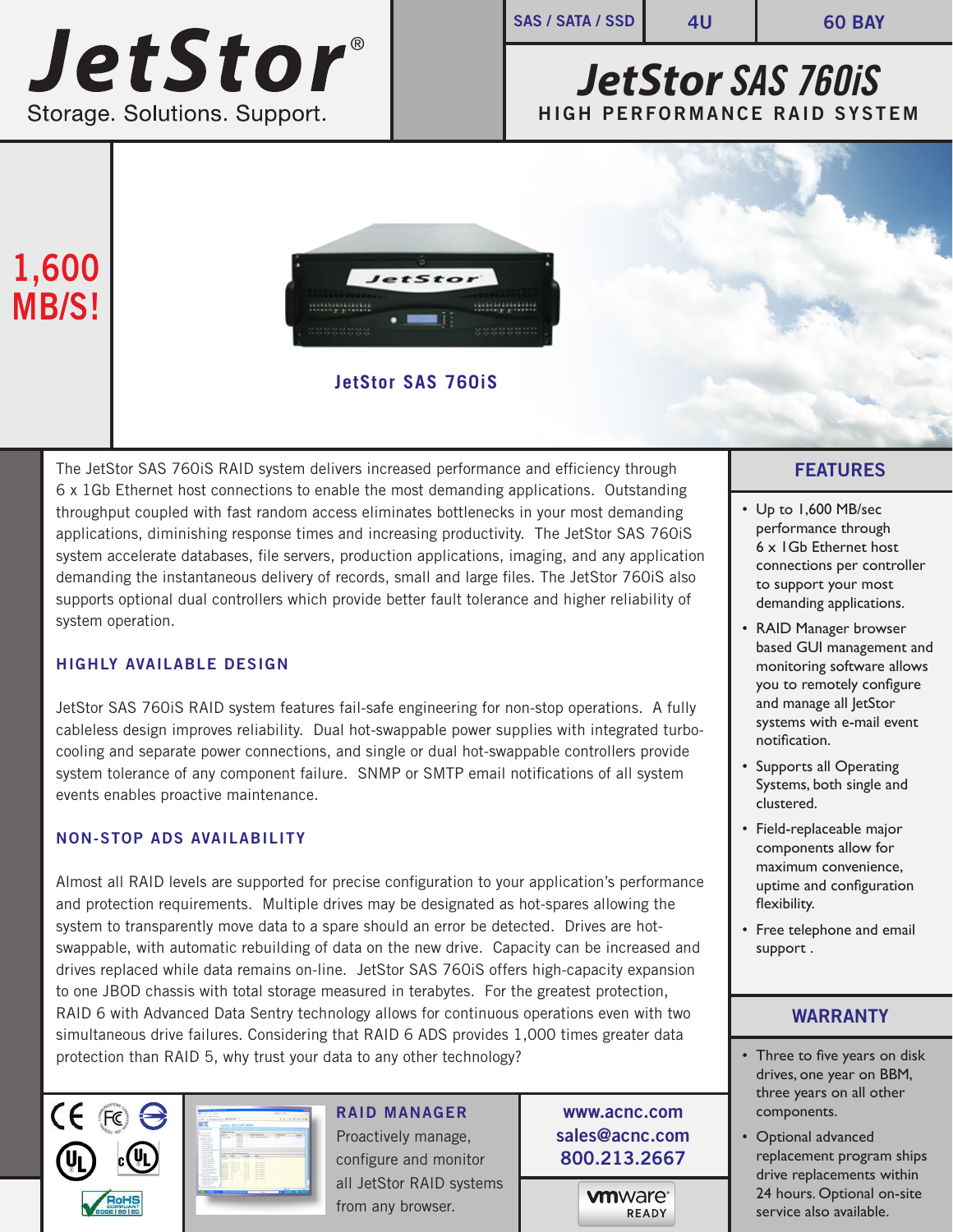# **JetStor®** Storage. Solutions. Support.

**SAS / SATA / SSD 4U 60 BAY**

## *JetStor SAS 760iS*  **HIGH PERFORMANCE RAID SYSTEM**

## **1,600 MB/S!**



**JetStor SAS 760iS**

The JetStor SAS 760iS RAID system delivers increased performance and efficiency through 6 x 1Gb Ethernet host connections to enable the most demanding applications. Outstanding throughput coupled with fast random access eliminates bottlenecks in your most demanding applications, diminishing response times and increasing productivity. The JetStor SAS 760iS system accelerate databases, file servers, production applications, imaging, and any application demanding the instantaneous delivery of records, small and large files. The JetStor 760iS also supports optional dual controllers which provide better fault tolerance and higher reliability of system operation.

### **HIGHLY AVAILABLE DESIGN**

JetStor SAS 760iS RAID system features fail-safe engineering for non-stop operations. A fully cableless design improves reliability. Dual hot-swappable power supplies with integrated turbocooling and separate power connections, and single or dual hot-swappable controllers provide system tolerance of any component failure. SNMP or SMTP email notifications of all system events enables proactive maintenance.

### **NON-STOP ADS AVAILABILITY**

Almost all RAID levels are supported for precise configuration to your application's performance and protection requirements. Multiple drives may be designated as hot-spares allowing the system to transparently move data to a spare should an error be detected. Drives are hotswappable, with automatic rebuilding of data on the new drive. Capacity can be increased and drives replaced while data remains on-line. JetStor SAS 760iS offers high-capacity expansion to one JBOD chassis with total storage measured in terabytes. For the greatest protection, RAID 6 with Advanced Data Sentry technology allows for continuous operations even with two simultaneous drive failures. Considering that RAID 6 ADS provides 1,000 times greater data protection than RAID 5, why trust your data to any other technology?





**RAID MANAGER** Proactively manage, configure and monitor all JetStor RAID systems from any browser.

**www.acnc.com sales@acnc.com 800.213.2667**

> **vm**ware<sup>®</sup> READY

### **FEATURES**

- Up to 1,600 MB/sec performance through 6 x 1Gb Ethernet host connections per controller to support your most demanding applications.
- RAID Manager browser based GUI management and monitoring software allows you to remotely configure and manage all JetStor systems with e-mail event notification.
- Supports all Operating Systems, both single and clustered.
- Field-replaceable major components allow for maximum convenience, uptime and configuration flexibility.
- Free telephone and email support .

### **WARRANTY**

- Three to five years on disk drives, one year on BBM, three years on all other components.
- Optional advanced replacement program ships drive replacements within 24 hours. Optional on-site service also available.